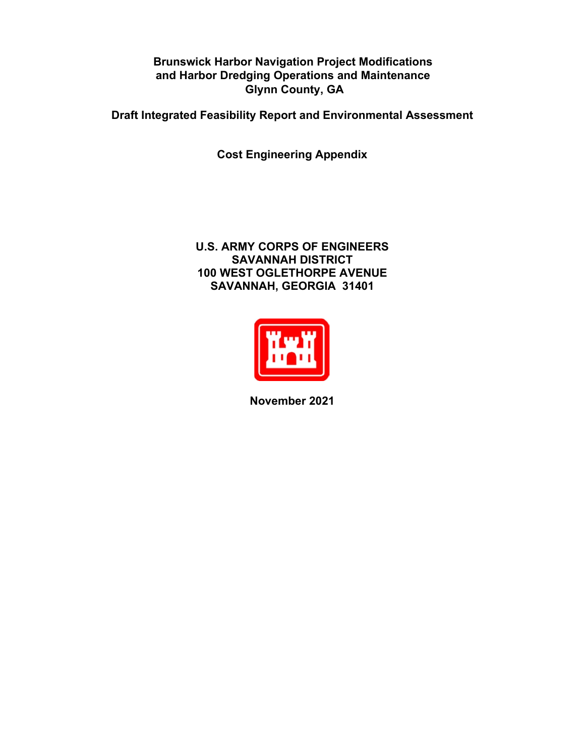**Brunswick Harbor Navigation Project Modifications and Harbor Dredging Operations and Maintenance Glynn County, GA** 

**Draft Integrated Feasibility Report and Environmental Assessment**

**Cost Engineering Appendix**

#### **U.S. ARMY CORPS OF ENGINEERS SAVANNAH DISTRICT 100 WEST OGLETHORPE AVENUE SAVANNAH, GEORGIA 31401**



**November 2021**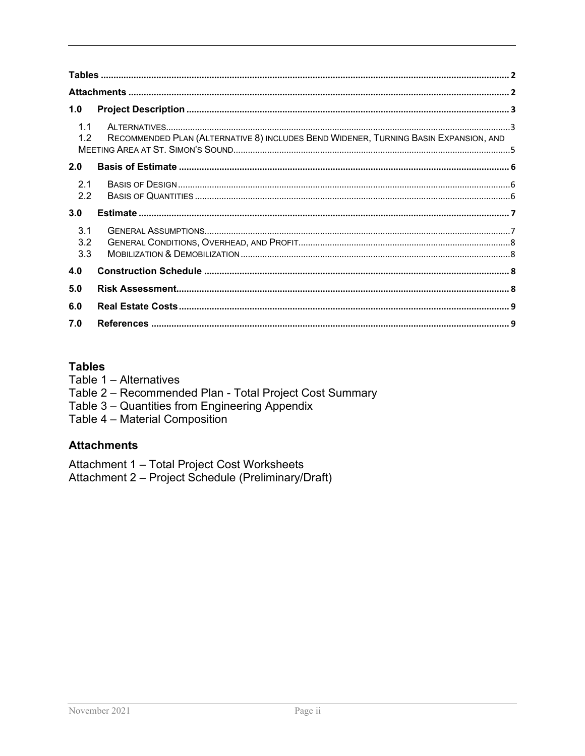| 1.0               |                                                                                      |  |
|-------------------|--------------------------------------------------------------------------------------|--|
| 1.1<br>1.2        | RECOMMENDED PLAN (ALTERNATIVE 8) INCLUDES BEND WIDENER, TURNING BASIN EXPANSION, AND |  |
| 2.0               |                                                                                      |  |
| 2.1<br>2.2        |                                                                                      |  |
| 3.0               |                                                                                      |  |
| 3.1<br>3.2<br>3.3 |                                                                                      |  |
| 4.0               |                                                                                      |  |
| 5.0               |                                                                                      |  |
| 6.0               |                                                                                      |  |
| 7.0               |                                                                                      |  |

#### <span id="page-1-0"></span>**Tables**

- <span id="page-1-1"></span>Table 1 - Alternatives
- Table 2 Recommended Plan Total Project Cost Summary
- Table 3 Quantities from Engineering Appendix<br>Table 4 Material Composition
- 

#### **Attachments**

Attachment 1 - Total Project Cost Worksheets<br>Attachment 2 - Project Schedule (Preliminary/Draft)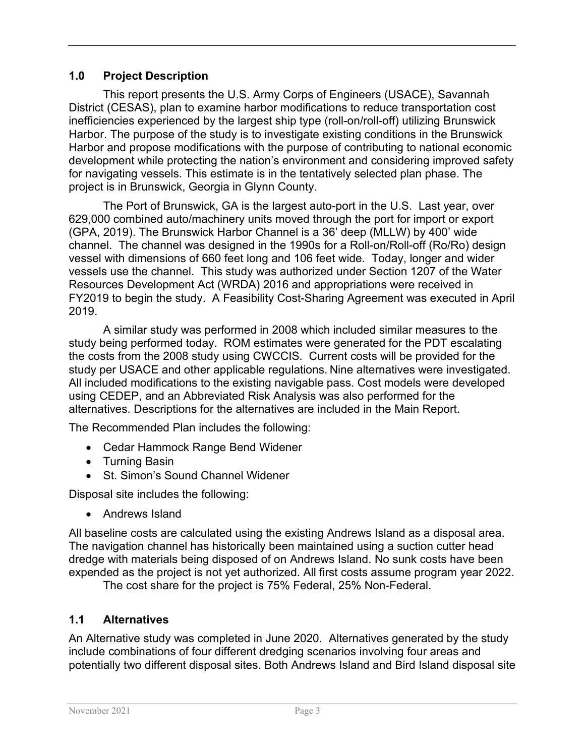### <span id="page-2-0"></span>**1.0 Project Description**

This report presents the U.S. Army Corps of Engineers (USACE), Savannah District (CESAS), plan to examine harbor modifications to reduce transportation cost inefficiencies experienced by the largest ship type (roll-on/roll-off) utilizing Brunswick Harbor. The purpose of the study is to investigate existing conditions in the Brunswick Harbor and propose modifications with the purpose of contributing to national economic development while protecting the nation's environment and considering improved safety for navigating vessels. This estimate is in the tentatively selected plan phase. The project is in Brunswick, Georgia in Glynn County.

The Port of Brunswick, GA is the largest auto-port in the U.S. Last year, over 629,000 combined auto/machinery units moved through the port for import or export (GPA, 2019). The Brunswick Harbor Channel is a 36' deep (MLLW) by 400' wide channel. The channel was designed in the 1990s for a Roll-on/Roll-off (Ro/Ro) design vessel with dimensions of 660 feet long and 106 feet wide. Today, longer and wider vessels use the channel. This study was authorized under Section 1207 of the Water Resources Development Act (WRDA) 2016 and appropriations were received in FY2019 to begin the study. A Feasibility Cost-Sharing Agreement was executed in April 2019.

A similar study was performed in 2008 which included similar measures to the study being performed today. ROM estimates were generated for the PDT escalating the costs from the 2008 study using CWCCIS. Current costs will be provided for the study per USACE and other applicable regulations. Nine alternatives were investigated. All included modifications to the existing navigable pass. Cost models were developed using CEDEP, and an Abbreviated Risk Analysis was also performed for the alternatives. Descriptions for the alternatives are included in the Main Report.

The Recommended Plan includes the following:

- Cedar Hammock Range Bend Widener
- Turning Basin
- St. Simon's Sound Channel Widener

Disposal site includes the following:

• Andrews Island

All baseline costs are calculated using the existing Andrews Island as a disposal area. The navigation channel has historically been maintained using a suction cutter head dredge with materials being disposed of on Andrews Island. No sunk costs have been expended as the project is not yet authorized. All first costs assume program year 2022.

The cost share for the project is 75% Federal, 25% Non-Federal.

## <span id="page-2-1"></span>**1.1 Alternatives**

An Alternative study was completed in June 2020. Alternatives generated by the study include combinations of four different dredging scenarios involving four areas and potentially two different disposal sites. Both Andrews Island and Bird Island disposal site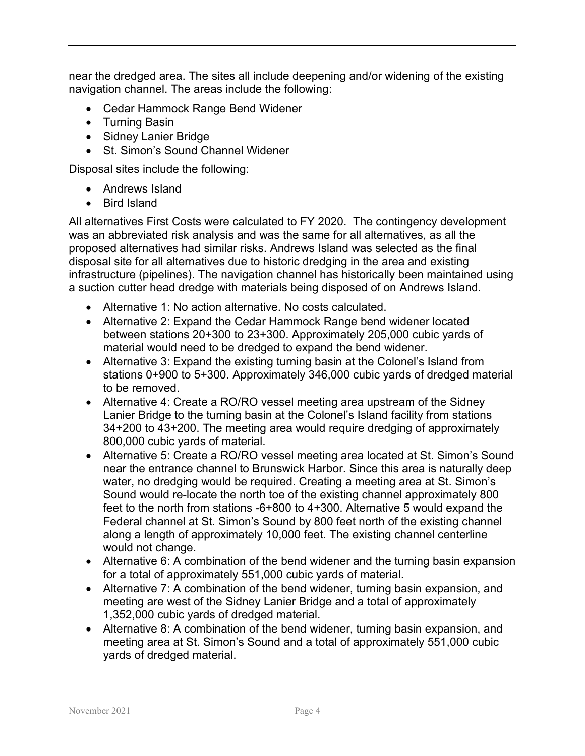near the dredged area. The sites all include deepening and/or widening of the existing navigation channel. The areas include the following:

- Cedar Hammock Range Bend Widener
- Turning Basin
- Sidney Lanier Bridge
- St. Simon's Sound Channel Widener

Disposal sites include the following:

- Andrews Island
- Bird Island

All alternatives First Costs were calculated to FY 2020. The contingency development was an abbreviated risk analysis and was the same for all alternatives, as all the proposed alternatives had similar risks. Andrews Island was selected as the final disposal site for all alternatives due to historic dredging in the area and existing infrastructure (pipelines). The navigation channel has historically been maintained using a suction cutter head dredge with materials being disposed of on Andrews Island.

- Alternative 1: No action alternative. No costs calculated.
- Alternative 2: Expand the Cedar Hammock Range bend widener located between stations 20+300 to 23+300. Approximately 205,000 cubic yards of material would need to be dredged to expand the bend widener.
- Alternative 3: Expand the existing turning basin at the Colonel's Island from stations 0+900 to 5+300. Approximately 346,000 cubic yards of dredged material to be removed.
- Alternative 4: Create a RO/RO vessel meeting area upstream of the Sidney Lanier Bridge to the turning basin at the Colonel's Island facility from stations 34+200 to 43+200. The meeting area would require dredging of approximately 800,000 cubic yards of material.
- Alternative 5: Create a RO/RO vessel meeting area located at St. Simon's Sound near the entrance channel to Brunswick Harbor. Since this area is naturally deep water, no dredging would be required. Creating a meeting area at St. Simon's Sound would re-locate the north toe of the existing channel approximately 800 feet to the north from stations -6+800 to 4+300. Alternative 5 would expand the Federal channel at St. Simon's Sound by 800 feet north of the existing channel along a length of approximately 10,000 feet. The existing channel centerline would not change.
- Alternative 6: A combination of the bend widener and the turning basin expansion for a total of approximately 551,000 cubic yards of material.
- Alternative 7: A combination of the bend widener, turning basin expansion, and meeting are west of the Sidney Lanier Bridge and a total of approximately 1,352,000 cubic yards of dredged material.
- Alternative 8: A combination of the bend widener, turning basin expansion, and meeting area at St. Simon's Sound and a total of approximately 551,000 cubic yards of dredged material.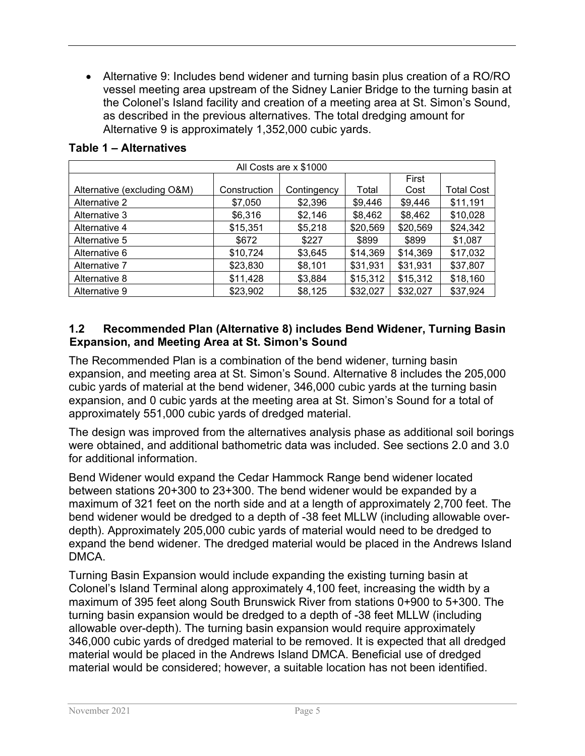• Alternative 9: Includes bend widener and turning basin plus creation of a RO/RO vessel meeting area upstream of the Sidney Lanier Bridge to the turning basin at the Colonel's Island facility and creation of a meeting area at St. Simon's Sound, as described in the previous alternatives. The total dredging amount for Alternative 9 is approximately 1,352,000 cubic yards.

|                             |              | All Costs are x \$1000 |          |          |                   |
|-----------------------------|--------------|------------------------|----------|----------|-------------------|
|                             |              |                        |          | First    |                   |
| Alternative (excluding O&M) | Construction | Contingency            | Total    | Cost     | <b>Total Cost</b> |
| Alternative 2               | \$7,050      | \$2,396                | \$9,446  | \$9,446  | \$11,191          |
| Alternative 3               | \$6,316      | \$2,146                | \$8,462  | \$8,462  | \$10,028          |
| Alternative 4               | \$15,351     | \$5,218                | \$20,569 | \$20,569 | \$24,342          |
| Alternative 5               | \$672        | \$227                  | \$899    | \$899    | \$1,087           |
| Alternative 6               | \$10,724     | \$3,645                | \$14,369 | \$14,369 | \$17,032          |
| Alternative 7               | \$23,830     | \$8,101                | \$31,931 | \$31,931 | \$37,807          |
| Alternative 8               | \$11,428     | \$3,884                | \$15,312 | \$15,312 | \$18,160          |
| Alternative 9               | \$23,902     | \$8,125                | \$32,027 | \$32,027 | \$37,924          |

#### **Table 1 – Alternatives**

#### <span id="page-4-0"></span>**1.2 Recommended Plan (Alternative 8) includes Bend Widener, Turning Basin Expansion, and Meeting Area at St. Simon's Sound**

The Recommended Plan is a combination of the bend widener, turning basin expansion, and meeting area at St. Simon's Sound. Alternative 8 includes the 205,000 cubic yards of material at the bend widener, 346,000 cubic yards at the turning basin expansion, and 0 cubic yards at the meeting area at St. Simon's Sound for a total of approximately 551,000 cubic yards of dredged material.

The design was improved from the alternatives analysis phase as additional soil borings were obtained, and additional bathometric data was included. See sections 2.0 and 3.0 for additional information.

Bend Widener would expand the Cedar Hammock Range bend widener located between stations 20+300 to 23+300. The bend widener would be expanded by a maximum of 321 feet on the north side and at a length of approximately 2,700 feet. The bend widener would be dredged to a depth of -38 feet MLLW (including allowable overdepth). Approximately 205,000 cubic yards of material would need to be dredged to expand the bend widener. The dredged material would be placed in the Andrews Island DMCA.

Turning Basin Expansion would include expanding the existing turning basin at Colonel's Island Terminal along approximately 4,100 feet, increasing the width by a maximum of 395 feet along South Brunswick River from stations 0+900 to 5+300. The turning basin expansion would be dredged to a depth of -38 feet MLLW (including allowable over-depth). The turning basin expansion would require approximately 346,000 cubic yards of dredged material to be removed. It is expected that all dredged material would be placed in the Andrews Island DMCA. Beneficial use of dredged material would be considered; however, a suitable location has not been identified.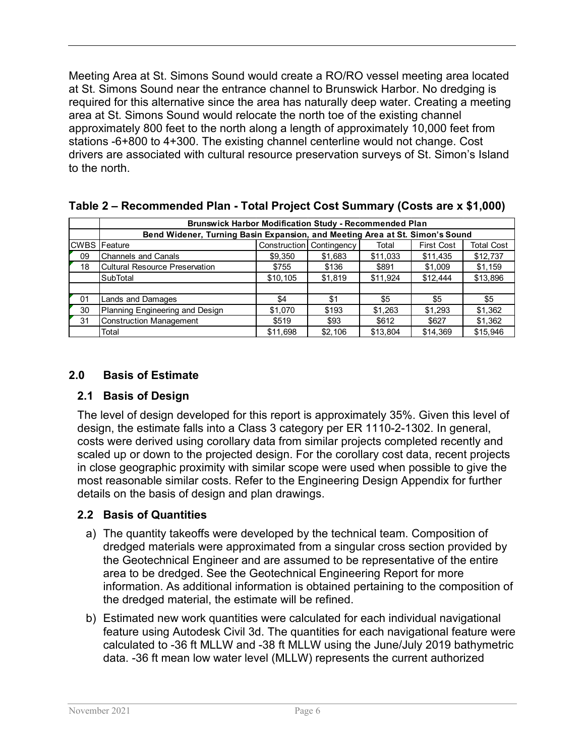Meeting Area at St. Simons Sound would create a RO/RO vessel meeting area located at St. Simons Sound near the entrance channel to Brunswick Harbor. No dredging is required for this alternative since the area has naturally deep water. Creating a meeting area at St. Simons Sound would relocate the north toe of the existing channel approximately 800 feet to the north along a length of approximately 10,000 feet from stations -6+800 to 4+300. The existing channel centerline would not change. Cost drivers are associated with cultural resource preservation surveys of St. Simon's Island to the north.

|             | <b>Brunswick Harbor Modification Study - Recommended Plan</b>                |              |             |          |                   |                   |
|-------------|------------------------------------------------------------------------------|--------------|-------------|----------|-------------------|-------------------|
|             | Bend Widener, Turning Basin Expansion, and Meeting Area at St. Simon's Sound |              |             |          |                   |                   |
| <b>CWBS</b> | <b>Feature</b>                                                               | Construction | Contingency | Total    | <b>First Cost</b> | <b>Total Cost</b> |
| 09          | <b>Channels and Canals</b>                                                   | \$9,350      | \$1,683     | \$11,033 | \$11,435          | \$12,737          |
| 18          | Cultural Resource Preservation                                               | \$755        | \$136       | \$891    | \$1,009           | \$1,159           |
|             | SubTotal                                                                     | \$10,105     | \$1,819     | \$11,924 | \$12,444          | \$13,896          |
|             |                                                                              |              |             |          |                   |                   |
| -01         | <b>Lands and Damages</b>                                                     | \$4          | \$1         | \$5      | \$5               | \$5               |
| 30          | Planning Engineering and Design                                              | \$1,070      | \$193       | \$1,263  | \$1,293           | \$1,362           |
| 31          | <b>Construction Management</b>                                               | \$519        | \$93        | \$612    | \$627             | \$1,362           |
|             | Total                                                                        | \$11.698     | \$2.106     | \$13.804 | \$14.369          | \$15.946          |

#### **Table 2 – Recommended Plan - Total Project Cost Summary (Costs are x \$1,000)**

#### <span id="page-5-0"></span>**2.0 Basis of Estimate**

#### <span id="page-5-1"></span>**2.1 Basis of Design**

The level of design developed for this report is approximately 35%. Given this level of design, the estimate falls into a Class 3 category per ER 1110-2-1302. In general, costs were derived using corollary data from similar projects completed recently and scaled up or down to the projected design. For the corollary cost data, recent projects in close geographic proximity with similar scope were used when possible to give the most reasonable similar costs. Refer to the Engineering Design Appendix for further details on the basis of design and plan drawings.

#### <span id="page-5-2"></span>**2.2 Basis of Quantities**

- a) The quantity takeoffs were developed by the technical team. Composition of dredged materials were approximated from a singular cross section provided by the Geotechnical Engineer and are assumed to be representative of the entire area to be dredged. See the Geotechnical Engineering Report for more information. As additional information is obtained pertaining to the composition of the dredged material, the estimate will be refined.
- b) Estimated new work quantities were calculated for each individual navigational feature using Autodesk Civil 3d. The quantities for each navigational feature were calculated to -36 ft MLLW and -38 ft MLLW using the June/July 2019 bathymetric data. -36 ft mean low water level (MLLW) represents the current authorized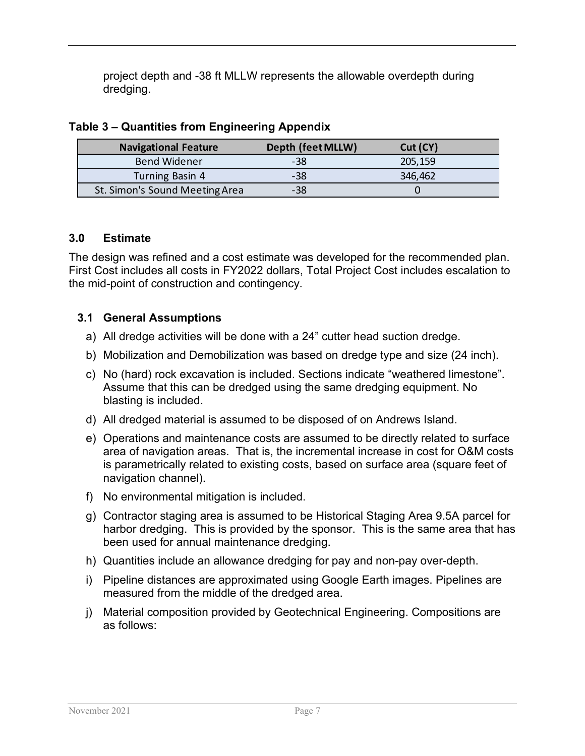project depth and -38 ft MLLW represents the allowable overdepth during dredging.

| <b>Navigational Feature</b>    | Depth (feet MLLW) | Cut(CY) |
|--------------------------------|-------------------|---------|
| <b>Bend Widener</b>            | -38               | 205,159 |
| Turning Basin 4                | -38               | 346,462 |
| St. Simon's Sound Meeting Area | -38               |         |

#### **Table 3 – Quantities from Engineering Appendix**

#### <span id="page-6-0"></span>**3.0 Estimate**

The design was refined and a cost estimate was developed for the recommended plan. First Cost includes all costs in FY2022 dollars, Total Project Cost includes escalation to the mid-point of construction and contingency.

#### <span id="page-6-1"></span>**3.1 General Assumptions**

- a) All dredge activities will be done with a 24" cutter head suction dredge.
- b) Mobilization and Demobilization was based on dredge type and size (24 inch).
- c) No (hard) rock excavation is included. Sections indicate "weathered limestone". Assume that this can be dredged using the same dredging equipment. No blasting is included.
- d) All dredged material is assumed to be disposed of on Andrews Island.
- e) Operations and maintenance costs are assumed to be directly related to surface area of navigation areas. That is, the incremental increase in cost for O&M costs is parametrically related to existing costs, based on surface area (square feet of navigation channel).
- f) No environmental mitigation is included.
- g) Contractor staging area is assumed to be Historical Staging Area 9.5A parcel for harbor dredging. This is provided by the sponsor. This is the same area that has been used for annual maintenance dredging.
- h) Quantities include an allowance dredging for pay and non-pay over-depth.
- i) Pipeline distances are approximated using Google Earth images. Pipelines are measured from the middle of the dredged area.
- j) Material composition provided by Geotechnical Engineering. Compositions are as follows: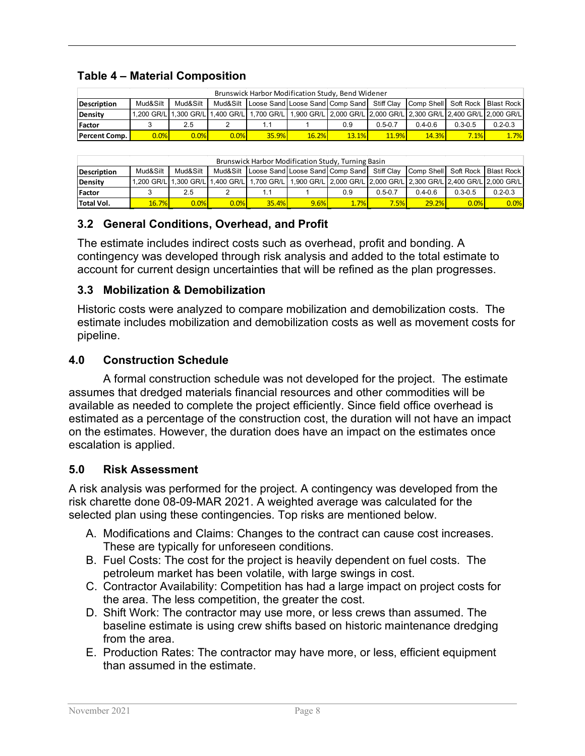#### **Table 4 – Material Composition**

|                                                                                                                                         | Brunswick Harbor Modification Study, Bend Widener |      |      |                                                                                                               |       |              |             |              |             |             |  |  |  |  |  |
|-----------------------------------------------------------------------------------------------------------------------------------------|---------------------------------------------------|------|------|---------------------------------------------------------------------------------------------------------------|-------|--------------|-------------|--------------|-------------|-------------|--|--|--|--|--|
| Mud&Silt<br>Mud&Silt<br>Loose Sand Loose Sand Comp Sand Stiff Clay<br>Comp Shell Soft Rock Blast Rock<br>Mud&Silt<br><b>Description</b> |                                                   |      |      |                                                                                                               |       |              |             |              |             |             |  |  |  |  |  |
| Density                                                                                                                                 |                                                   |      |      | 1.200 GR/L 1.300 GR/L 1.400 GR/L 1.700 GR/L 1.900 GR/L 2.000 GR/L 2.000 GR/L 2.300 GR/L 2.400 GR/L 2.000 GR/L |       |              |             |              |             |             |  |  |  |  |  |
| Factor                                                                                                                                  |                                                   | 2.5  |      |                                                                                                               |       | 0.9          | $0.5 - 0.7$ | $0.4 - 0.6$  | $0.3 - 0.5$ | $0.2 - 0.3$ |  |  |  |  |  |
| <b>Percent Comp.</b>                                                                                                                    | 0.0%                                              | 0.0% | 0.0% | 35.9%                                                                                                         | 16.2% | <b>13.1%</b> | 11.9%       | <b>14.3%</b> | 7.1%        | 1.7%        |  |  |  |  |  |

|                    | Brunswick Harbor Modification Study, Turning Basin |          |      |                                                                                                                 |      |      |             |                                   |             |             |  |  |  |  |
|--------------------|----------------------------------------------------|----------|------|-----------------------------------------------------------------------------------------------------------------|------|------|-------------|-----------------------------------|-------------|-------------|--|--|--|--|
| <b>Description</b> | Mud&Silt                                           | Mud&Silt |      | Mud&Silt   Loose Sand Loose Sand Comp Sand Stiff Clay                                                           |      |      |             | Comp Shell Soft Rock   Blast Rock |             |             |  |  |  |  |
| Density            |                                                    |          |      | .1,200 GR/L│1,300 GR/L│1,400 GR/L│1,700 GR/L│1,900 GR/L│2,000 GR/L│2,000 GR/L│2,300 GR/L│2,400 GR/L│2,000 GR/L│ |      |      |             |                                   |             |             |  |  |  |  |
| Factor             |                                                    | 2.5      |      |                                                                                                                 |      | 0.9  | $0.5 - 0.7$ | $0.4 - 0.6$                       | $0.3 - 0.5$ | $0.2 - 0.3$ |  |  |  |  |
| Total Vol.         | 16.7%                                              | $0.0\%$  | 0.0% | <b>35.4%</b>                                                                                                    | 9.6% | 1.7% | 7.5%        | 29.2%                             | 0.0%        | 0.0%        |  |  |  |  |

## <span id="page-7-0"></span>**3.2 General Conditions, Overhead, and Profit**

The estimate includes indirect costs such as overhead, profit and bonding. A contingency was developed through risk analysis and added to the total estimate to account for current design uncertainties that will be refined as the plan progresses.

#### <span id="page-7-1"></span>**3.3 Mobilization & Demobilization**

Historic costs were analyzed to compare mobilization and demobilization costs. The estimate includes mobilization and demobilization costs as well as movement costs for pipeline.

#### <span id="page-7-2"></span>**4.0 Construction Schedule**

A formal construction schedule was not developed for the project. The estimate assumes that dredged materials financial resources and other commodities will be available as needed to complete the project efficiently. Since field office overhead is estimated as a percentage of the construction cost, the duration will not have an impact on the estimates. However, the duration does have an impact on the estimates once escalation is applied.

#### <span id="page-7-3"></span>**5.0 Risk Assessment**

A risk analysis was performed for the project. A contingency was developed from the risk charette done 08-09-MAR 2021. A weighted average was calculated for the selected plan using these contingencies. Top risks are mentioned below.

- A. Modifications and Claims: Changes to the contract can cause cost increases. These are typically for unforeseen conditions.
- B. Fuel Costs: The cost for the project is heavily dependent on fuel costs. The petroleum market has been volatile, with large swings in cost.
- C. Contractor Availability: Competition has had a large impact on project costs for the area. The less competition, the greater the cost.
- D. Shift Work: The contractor may use more, or less crews than assumed. The baseline estimate is using crew shifts based on historic maintenance dredging from the area.
- E. Production Rates: The contractor may have more, or less, efficient equipment than assumed in the estimate.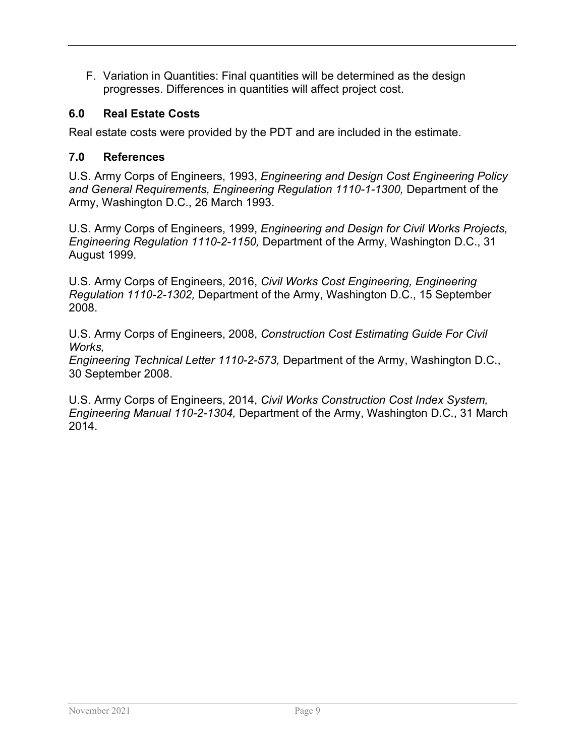F. Variation in Quantities: Final quantities will be determined as the design progresses. Differences in quantities will affect project cost.

## <span id="page-8-0"></span>**6.0 Real Estate Costs**

Real estate costs were provided by the PDT and are included in the estimate.

#### <span id="page-8-1"></span>**7.0 References**

U.S. Army Corps of Engineers, 1993, *Engineering and Design Cost Engineering Policy and General Requirements, Engineering Regulation 1110-1-1300,* Department of the Army, Washington D.C., 26 March 1993.

U.S. Army Corps of Engineers, 1999, *Engineering and Design for Civil Works Projects, Engineering Regulation 1110-2-1150,* Department of the Army, Washington D.C., 31 August 1999.

U.S. Army Corps of Engineers, 2016, *Civil Works Cost Engineering, Engineering Regulation 1110-2-1302,* Department of the Army, Washington D.C., 15 September 2008.

U.S. Army Corps of Engineers, 2008, *Construction Cost Estimating Guide For Civil Works,*

*Engineering Technical Letter 1110-2-573,* Department of the Army, Washington D.C., 30 September 2008.

U.S. Army Corps of Engineers, 2014, *Civil Works Construction Cost Index System, Engineering Manual 110-2-1304,* Department of the Army, Washington D.C., 31 March 2014.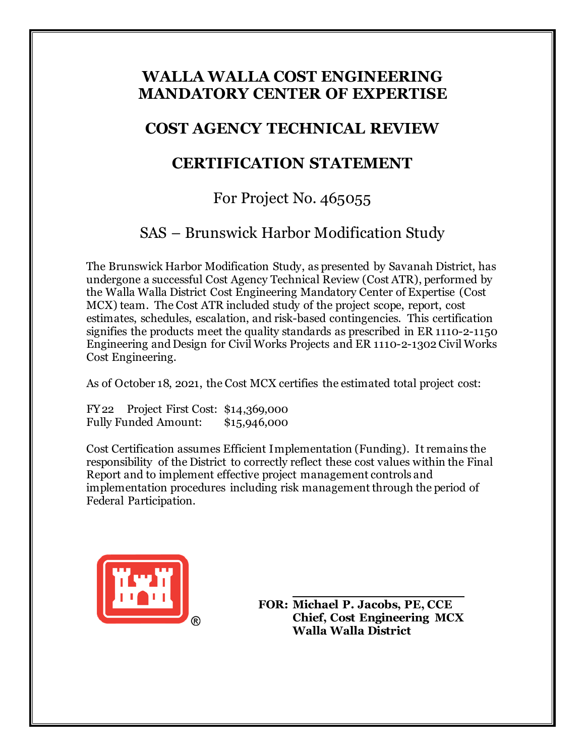## **WALLA WALLA COST ENGINEERING MANDATORY CENTER OF EXPERTISE**

## **COST AGENCY TECHNICAL REVIEW**

# **CERTIFICATION STATEMENT**

# For Project No. 465055

# SAS – Brunswick Harbor Modification Study

The Brunswick Harbor Modification Study, as presented by Savanah District, has undergone a successful Cost Agency Technical Review (Cost ATR), performed by the Walla Walla District Cost Engineering Mandatory Center of Expertise (Cost MCX) team. The Cost ATR included study of the project scope, report, cost estimates, schedules, escalation, and risk-based contingencies. This certification signifies the products meet the quality standards as prescribed in ER 1110-2-1150 Engineering and Design for Civil Works Projects and ER 1110-2-1302 Civil Works Cost Engineering.

As of October 18, 2021, the Cost MCX certifies the estimated total project cost:

FY22 Project First Cost: \$14,369,000 Fully Funded Amount: \$15,946,000

Cost Certification assumes Efficient Implementation (Funding). It remains the responsibility of the District to correctly reflect these cost values within the Final Report and to implement effective project management controls and implementation procedures including risk management through the period of Federal Participation.



**FOR: Michael P. Jacobs, PE, CCE Chief, Cost Engineering MCX Walla Walla District**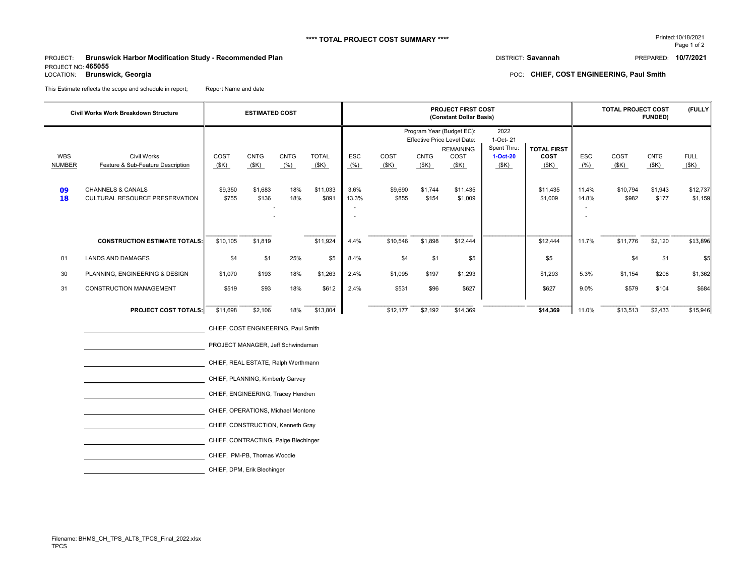#### **\*\*\*\* TOTAL PROJECT COST SUMMARY \*\*\*\*** Printed:10/18/2021

PROJECT: DISTRICT: **Savannah** PREPARED: **10/7/2021 Brunswick Harbor Modification Study - Recommended Plan** PROJECT NO: **465055**<br>LOCATION: **Brunswick, Georgia** 

Page 1 of 2

POC: CHIEF, COST ENGINEERING, Paul Smith

This Estimate reflects the scope and schedule in report; Report Name and date

|                                         | <b>Civil Works Work Breakdown Structure</b>                                                                               | <b>ESTIMATED COST</b>               |                                         |                                   |                                           |                                     |                                  | <b>PROJECT FIRST COST</b><br>(Constant Dollar Basis) |                                                                                                                            |                                                       | (FULLY<br><b>TOTAL PROJECT COST</b><br><b>FUNDED)</b>     |                               |                                   |                                         |                                            |
|-----------------------------------------|---------------------------------------------------------------------------------------------------------------------------|-------------------------------------|-----------------------------------------|-----------------------------------|-------------------------------------------|-------------------------------------|----------------------------------|------------------------------------------------------|----------------------------------------------------------------------------------------------------------------------------|-------------------------------------------------------|-----------------------------------------------------------|-------------------------------|-----------------------------------|-----------------------------------------|--------------------------------------------|
| <b>WBS</b><br><b>NUMBER</b><br>09<br>18 | <b>Civil Works</b><br>Feature & Sub-Feature Description<br><b>CHANNELS &amp; CANALS</b><br>CULTURAL RESOURCE PRESERVATION | COST<br>(SK)<br>\$9,350<br>\$755    | <b>CNTG</b><br>(SK)<br>\$1,683<br>\$136 | <b>CNTG</b><br>(% )<br>18%<br>18% | <b>TOTAL</b><br>(SK)<br>\$11,033<br>\$891 | <b>ESC</b><br>(% )<br>3.6%<br>13.3% | COST<br>(SK)<br>\$9,690<br>\$855 | <b>CNTG</b><br>(SK)<br>\$1,744<br>\$154              | Program Year (Budget EC):<br><b>Effective Price Level Date:</b><br><b>REMAINING</b><br>COST<br>(SK)<br>\$11,435<br>\$1,009 | 2022<br>1-Oct-21<br>Spent Thru:<br>$1-Oct-20$<br>(SK) | <b>TOTAL FIRST</b><br>COST<br>(SK)<br>\$11,435<br>\$1,009 | ESC<br>(% )<br>11.4%<br>14.8% | COST<br>(SK)<br>\$10,794<br>\$982 | <b>CNTG</b><br>(SK)<br>\$1,943<br>\$177 | <b>FULL</b><br>(SK)<br>\$12,737<br>\$1,159 |
|                                         | <b>CONSTRUCTION ESTIMATE TOTALS</b>                                                                                       | \$10,105                            | \$1,819                                 |                                   | \$11,924                                  | 4.4%                                | \$10,546                         | \$1,898                                              | \$12,444                                                                                                                   |                                                       | \$12,444                                                  | 11.7%                         | \$11,776                          | \$2,120                                 | \$13,896                                   |
| 01                                      | <b>LANDS AND DAMAGES</b>                                                                                                  | \$4                                 | \$1                                     | 25%                               | \$5                                       | 8.4%                                | \$4                              | \$1                                                  | \$5                                                                                                                        |                                                       | \$5                                                       |                               | \$4                               | \$1                                     | \$5                                        |
| 30                                      | PLANNING, ENGINEERING & DESIGN                                                                                            | \$1,070                             | \$193                                   | 18%                               | \$1,263                                   | 2.4%                                | \$1,095                          | \$197                                                | \$1,293                                                                                                                    |                                                       | \$1,293                                                   | 5.3%                          | \$1,154                           | \$208                                   | \$1,362                                    |
| 31                                      | <b>CONSTRUCTION MANAGEMENT</b>                                                                                            | \$519                               | \$93                                    | 18%                               | \$612                                     | 2.4%                                | \$531                            | \$96                                                 | \$627                                                                                                                      |                                                       | \$627                                                     | 9.0%                          | \$579                             | \$104                                   | \$684                                      |
|                                         | <b>PROJECT COST TOTALS:</b>                                                                                               | \$11,698                            | \$2,106                                 | 18%                               | \$13,804                                  |                                     | \$12,177                         | \$2,192                                              | \$14,369                                                                                                                   |                                                       | \$14,369                                                  | 11.0%                         | \$13,513                          | \$2,433                                 | \$15,946                                   |
|                                         |                                                                                                                           | CHIEF, COST ENGINEERING, Paul Smith |                                         |                                   |                                           |                                     |                                  |                                                      |                                                                                                                            |                                                       |                                                           |                               |                                   |                                         |                                            |
|                                         |                                                                                                                           | PROJECT MANAGER, Jeff Schwindaman   |                                         |                                   |                                           |                                     |                                  |                                                      |                                                                                                                            |                                                       |                                                           |                               |                                   |                                         |                                            |

CHIEF, REAL ESTATE, Ralph Werthmann

CHIEF, PLANNING, Kimberly Garvey

CHIEF, ENGINEERING, Tracey Hendren

CHIEF, OPERATIONS, Michael Montone

CHIEF, CONSTRUCTION, Kenneth Gray

CHIEF, CONTRACTING, Paige Blechinger

CHIEF, PM-PB, Thomas Woodie

CHIEF, DPM, Erik Blechinger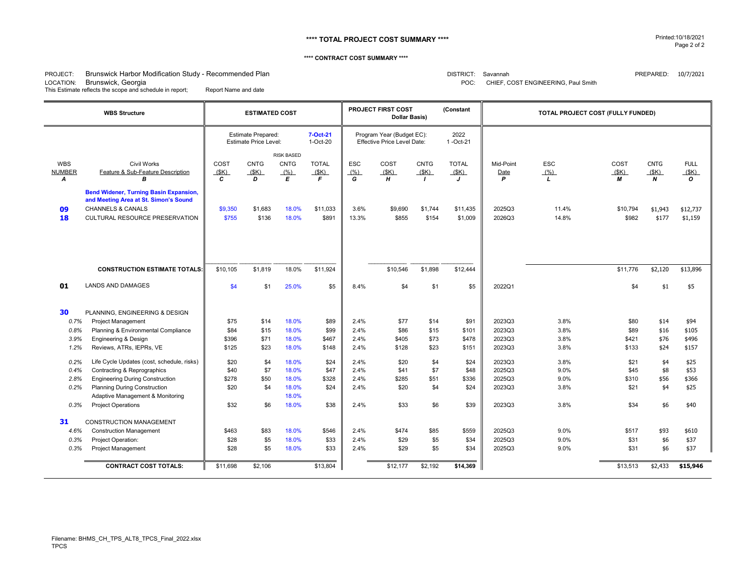#### **\*\*\*\* TOTAL PROJECT COST SUMMARY \*\*\*\*** Printed:10/18/2021

#### **\*\*\*\* CONTRACT COST SUMMARY \*\*\*\***

#### PROJECT: Brunswick Harbor Modification Study - Recommended Plan that the product of the product of the product of the product of the product of the product of the PREPARED: 10/7/2021

LOCATION: Brunswick, Georgia POC: CHIEF, COST ENGINEERING, Paul Smith This Estimate reflects the scope and schedule in report; Report Name and date

|                                      | <b>WBS Structure</b>                                                                                                                                                                                                        |                                       | <b>ESTIMATED COST</b>                                     |                                                    |                                       |                                      | <b>PROJECT FIRST COST</b><br><b>Dollar Basis)</b>               |                                     | (Constant                             |                                                | TOTAL PROJECT COST (FULLY FUNDED)    |                                       |                                         |                                       |
|--------------------------------------|-----------------------------------------------------------------------------------------------------------------------------------------------------------------------------------------------------------------------------|---------------------------------------|-----------------------------------------------------------|----------------------------------------------------|---------------------------------------|--------------------------------------|-----------------------------------------------------------------|-------------------------------------|---------------------------------------|------------------------------------------------|--------------------------------------|---------------------------------------|-----------------------------------------|---------------------------------------|
|                                      |                                                                                                                                                                                                                             |                                       | <b>Estimate Prepared:</b><br><b>Estimate Price Level:</b> |                                                    | 7-Oct-21<br>1-Oct-20                  |                                      | Program Year (Budget EC):<br><b>Effective Price Level Date:</b> |                                     | 2022<br>1-Oct-21                      |                                                |                                      |                                       |                                         |                                       |
| <b>WBS</b><br><b>NUMBER</b><br>A     | Civil Works<br>Feature & Sub-Feature Description<br>В                                                                                                                                                                       |                                       | <b>CNTG</b><br>(SK)<br>D                                  | <b>RISK BASED</b><br><b>CNTG</b><br>(% )<br>E      | <b>TOTAL</b><br>(SK)<br>E             | <b>ESC</b><br>(%)<br>G               | COST<br>(SK)<br>н                                               | <b>CNTG</b><br>(SK)<br>$\mathbf{I}$ | <b>TOTAL</b><br>(SK)<br>J             | Mid-Point<br>Date<br>P                         | <b>ESC</b><br>(% )<br>$\mathbf{L}$   | COST<br>(SK)<br>М                     | <b>CNTG</b><br>(SK)<br>$\boldsymbol{N}$ | <b>FULL</b><br>(SK)<br>$\mathbf{o}$   |
| 09<br>18                             | <b>Bend Widener, Turning Basin Expansion,</b><br>and Meeting Area at St. Simon's Sound<br><b>CHANNELS &amp; CANALS</b><br>CULTURAL RESOURCE PRESERVATION                                                                    |                                       | \$1,683<br>\$136                                          | 18.0%<br>18.0%                                     | \$11.033<br>\$891                     | 3.6%<br>13.3%                        | \$9.690<br>\$855                                                | \$1.744<br>\$154                    | \$11,435<br>\$1,009                   | 2025Q3<br>2026Q3                               | 11.4%<br>14.8%                       | \$10.794<br>\$982                     | \$1,943<br>\$177                        | \$12,737<br>\$1,159                   |
|                                      | <b>CONSTRUCTION ESTIMATE TOTALS:</b>                                                                                                                                                                                        |                                       | \$1,819                                                   | 18.0%                                              | \$11.924                              |                                      | \$10,546                                                        | \$1,898                             | \$12,444                              |                                                |                                      | \$11,776                              | \$2.120                                 | \$13,896                              |
| 01                                   | <b>LANDS AND DAMAGES</b>                                                                                                                                                                                                    | \$4                                   | \$1                                                       | 25.0%                                              | \$5                                   | 8.4%                                 | \$4                                                             | \$1                                 | \$5                                   | 2022Q1                                         |                                      | \$4                                   | \$1                                     | \$5                                   |
| 30<br>0.7%<br>0.8%<br>3.9%<br>1.2%   | PLANNING. ENGINEERING & DESIGN<br><b>Project Management</b><br>Planning & Environmental Compliance<br>Engineering & Design<br>Reviews, ATRs, IEPRs, VE                                                                      | \$75<br>\$84<br>\$396<br>\$125        | \$14<br>\$15<br>\$71<br>\$23                              | 18.0%<br>18.0%<br>18.0%<br>18.0%                   | \$89<br>\$99<br>\$467<br>\$148        | 2.4%<br>2.4%<br>2.4%<br>2.4%         | \$77<br>\$86<br>\$405<br>\$128                                  | \$14<br>\$15<br>\$73<br>\$23        | \$91<br>\$101<br>\$478<br>\$151       | 2023Q3<br>2023Q3<br>2023Q3<br>2023Q3           | 3.8%<br>3.8%<br>3.8%<br>3.8%         | \$80<br>\$89<br>\$421<br>\$133        | \$14<br>\$16<br>\$76<br>\$24            | \$94<br>\$105<br>\$496<br>\$157       |
| 0.2%<br>0.4%<br>2.8%<br>0.2%<br>0.3% | Life Cycle Updates (cost, schedule, risks)<br>Contracting & Reprographics<br><b>Engineering During Construction</b><br><b>Planning During Construction</b><br>Adaptive Management & Monitoring<br><b>Project Operations</b> | \$20<br>\$40<br>\$278<br>\$20<br>\$32 | \$4<br>\$7<br>\$50<br>\$4<br>\$6                          | 18.0%<br>18.0%<br>18.0%<br>18.0%<br>18.0%<br>18.0% | \$24<br>\$47<br>\$328<br>\$24<br>\$38 | 2.4%<br>2.4%<br>2.4%<br>2.4%<br>2.4% | \$20<br>\$41<br>\$285<br>\$20<br>\$33                           | \$4<br>\$7<br>\$51<br>\$4<br>\$6    | \$24<br>\$48<br>\$336<br>\$24<br>\$39 | 2023Q3<br>2025Q3<br>2025Q3<br>2023Q3<br>2023Q3 | 3.8%<br>9.0%<br>9.0%<br>3.8%<br>3.8% | \$21<br>\$45<br>\$310<br>\$21<br>\$34 | \$4<br>\$8<br>\$56<br>\$4<br>\$6        | \$25<br>\$53<br>\$366<br>\$25<br>\$40 |
| 31<br>4.6%<br>0.3%<br>0.3%           | <b>CONSTRUCTION MANAGEMENT</b><br><b>Construction Management</b><br>Project Operation:<br><b>Project Management</b>                                                                                                         | \$463<br>\$28<br>\$28                 | \$83<br>\$5<br>\$5                                        | 18.0%<br>18.0%<br>18.0%                            | \$546<br>\$33<br>\$33                 | 2.4%<br>2.4%<br>2.4%                 | \$474<br>\$29<br>\$29                                           | \$85<br>\$5<br>\$5                  | \$559<br>\$34<br>\$34                 | 2025Q3<br>2025Q3<br>2025Q3                     | 9.0%<br>9.0%<br>9.0%                 | \$517<br>\$31<br>\$31                 | \$93<br>\$6<br>\$6                      | \$610<br>\$37<br>\$37                 |
| <b>CONTRACT COST TOTALS:</b>         |                                                                                                                                                                                                                             | \$11,698                              | \$2,106                                                   |                                                    | \$13,804                              |                                      | \$12,177                                                        | \$2,192                             | \$14,369                              |                                                |                                      | \$13,513                              | \$2,433                                 | \$15,946                              |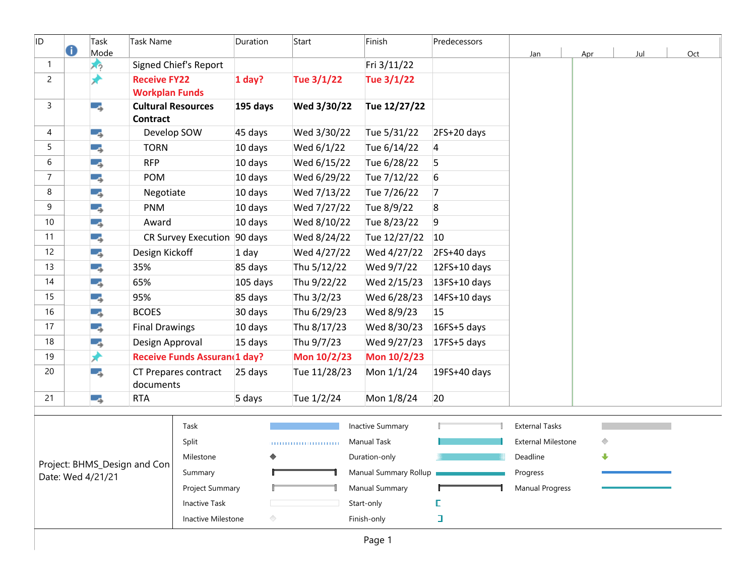| ID             | 0               | Task<br>Mode      | Task Name                                    |                                     | Duration        | Start        | Finish                  | Predecessors   | Jan                       | Apr                  | Jul | Oct |
|----------------|-----------------|-------------------|----------------------------------------------|-------------------------------------|-----------------|--------------|-------------------------|----------------|---------------------------|----------------------|-----|-----|
| $\mathbf{1}$   |                 | オウ                |                                              | Signed Chief's Report               |                 |              | Fri 3/11/22             |                |                           |                      |     |     |
| $\overline{c}$ |                 |                   | <b>Receive FY22</b><br><b>Workplan Funds</b> |                                     | $1$ day?        | Tue 3/1/22   | Tue 3/1/22              |                |                           |                      |     |     |
| 3              |                 | ۳.,               | <b>Cultural Resources</b><br><b>Contract</b> |                                     | 195 days        | Wed 3/30/22  | Tue 12/27/22            |                |                           |                      |     |     |
| 4              |                 | -3                | Develop SOW                                  |                                     | 45 days         | Wed 3/30/22  | Tue 5/31/22             | 2FS+20 days    |                           |                      |     |     |
| 5              |                 | - 5               | <b>TORN</b>                                  |                                     | 10 days         | Wed 6/1/22   | Tue 6/14/22             | 4              |                           |                      |     |     |
| 6              |                 | - 5               | <b>RFP</b>                                   |                                     | 10 days         | Wed 6/15/22  | Tue 6/28/22             | 5              |                           |                      |     |     |
| $\overline{7}$ |                 | - 5               | POM                                          |                                     | 10 days         | Wed 6/29/22  | Tue 7/12/22             | 6              |                           |                      |     |     |
| 8              |                 | - 5               | Negotiate                                    |                                     | 10 days         | Wed 7/13/22  | Tue 7/26/22             | $\overline{7}$ |                           |                      |     |     |
| 9              |                 | - 5               | PNM                                          |                                     | 10 days         | Wed 7/27/22  | Tue 8/9/22              | 8              |                           |                      |     |     |
| 10             |                 | т,                | Award                                        |                                     | 10 days         | Wed 8/10/22  | Tue 8/23/22             | 9              |                           |                      |     |     |
| 11             |                 | - 5               |                                              | CR Survey Execution 90 days         |                 | Wed 8/24/22  | Tue 12/27/22            | 10             |                           |                      |     |     |
| 12             |                 | - 5               | Design Kickoff                               |                                     | 1 day           | Wed 4/27/22  | Wed 4/27/22             | 2FS+40 days    |                           |                      |     |     |
| 13             |                 | - 5               | 35%                                          |                                     | 85 days         | Thu 5/12/22  | Wed 9/7/22              | 12FS+10 days   |                           |                      |     |     |
| 14             |                 | - 5               | 65%                                          |                                     | 105 days        | Thu 9/22/22  | Wed 2/15/23             | 13FS+10 days   |                           |                      |     |     |
| 15             |                 | ь,                | 95%                                          |                                     | 85 days         | Thu 3/2/23   | Wed 6/28/23             | 14FS+10 days   |                           |                      |     |     |
| 16             |                 | - 5               | <b>BCOES</b>                                 |                                     | 30 days         | Thu 6/29/23  | Wed 8/9/23              | 15             |                           |                      |     |     |
| 17             |                 | - 5               | <b>Final Drawings</b>                        |                                     | 10 days         | Thu 8/17/23  | Wed 8/30/23             | 16FS+5 days    |                           |                      |     |     |
| 18             |                 | - 5               | Design Approval                              |                                     | 15 days         | Thu 9/7/23   | Wed 9/27/23             | 17FS+5 days    |                           |                      |     |     |
| 19             |                 | ₩                 |                                              | <b>Receive Funds Assurand1 day?</b> |                 | Mon 10/2/23  | Mon 10/2/23             |                |                           |                      |     |     |
| 20             |                 | С.,               | documents                                    | CT Prepares contract                | 25 days         | Tue 11/28/23 | Mon 1/1/24              | 19FS+40 days   |                           |                      |     |     |
| 21             |                 | ь,                | <b>RTA</b>                                   |                                     | 5 days          | Tue 1/2/24   | Mon 1/8/24              | 20             |                           |                      |     |     |
|                |                 |                   |                                              |                                     |                 |              |                         |                |                           |                      |     |     |
|                |                 |                   |                                              | Task                                |                 |              | <b>Inactive Summary</b> |                | <b>External Tasks</b>     |                      |     |     |
|                |                 |                   |                                              | Split                               |                 |              | <b>Manual Task</b>      |                | <b>External Milestone</b> | ◇                    |     |     |
|                |                 |                   | Project: BHMS_Design and Con                 | Milestone                           | ◆               |              | Duration-only           |                | Deadline                  | $\ddot{\phantom{1}}$ |     |     |
|                |                 | Date: Wed 4/21/21 |                                              | Summary                             |                 |              | Manual Summary Rollup   |                | Progress                  |                      |     |     |
|                | Project Summary |                   | Manual Summary                               |                                     | Manual Progress |              |                         |                |                           |                      |     |     |
|                |                 |                   |                                              | <b>Inactive Task</b>                |                 |              | Start-only              |                |                           |                      |     |     |
|                |                 |                   |                                              | Inactive Milestone                  | ◇               |              | Finish-only             | $\Box$         |                           |                      |     |     |
|                |                 |                   |                                              |                                     |                 |              | Page 1                  |                |                           |                      |     |     |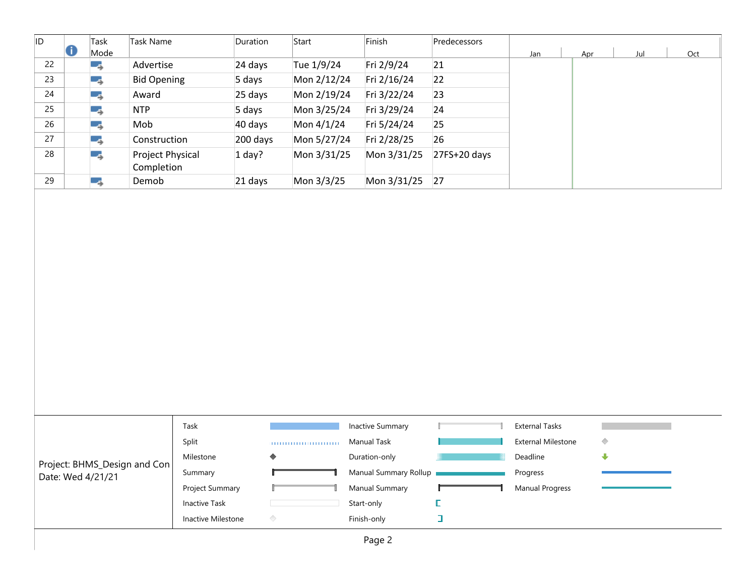| ID |   | Task | Task Name                      | Duration | Start       | Finish      | Predecessors |     |     |     |     |  |
|----|---|------|--------------------------------|----------|-------------|-------------|--------------|-----|-----|-----|-----|--|
|    | O | Mode |                                |          |             |             |              | Jan | Apr | Jul | Oct |  |
| 22 |   | -3   | Advertise                      | 24 days  | Tue 1/9/24  | Fri 2/9/24  | 21           |     |     |     |     |  |
| 23 |   | - 5  | <b>Bid Opening</b>             | 5 days   | Mon 2/12/24 | Fri 2/16/24 | 22           |     |     |     |     |  |
| 24 |   | - 5  | Award                          | 25 days  | Mon 2/19/24 | Fri 3/22/24 | 23           |     |     |     |     |  |
| 25 |   | - 5  | <b>NTP</b>                     | 5 days   | Mon 3/25/24 | Fri 3/29/24 | 24           |     |     |     |     |  |
| 26 |   | - 5  | Mob                            | 40 days  | Mon 4/1/24  | Fri 5/24/24 | 25           |     |     |     |     |  |
| 27 |   | - 5  | Construction                   | 200 days | Mon 5/27/24 | Fri 2/28/25 | 26           |     |     |     |     |  |
| 28 |   | - 5  | Project Physical<br>Completion | $1$ day? | Mon 3/31/25 | Mon 3/31/25 | 27FS+20 days |     |     |     |     |  |
| 29 |   | - 5  | Demob                          | 21 days  | Mon 3/3/25  | Mon 3/31/25 | 27           |     |     |     |     |  |
|    |   |      |                                |          |             |             |              |     |     |     |     |  |

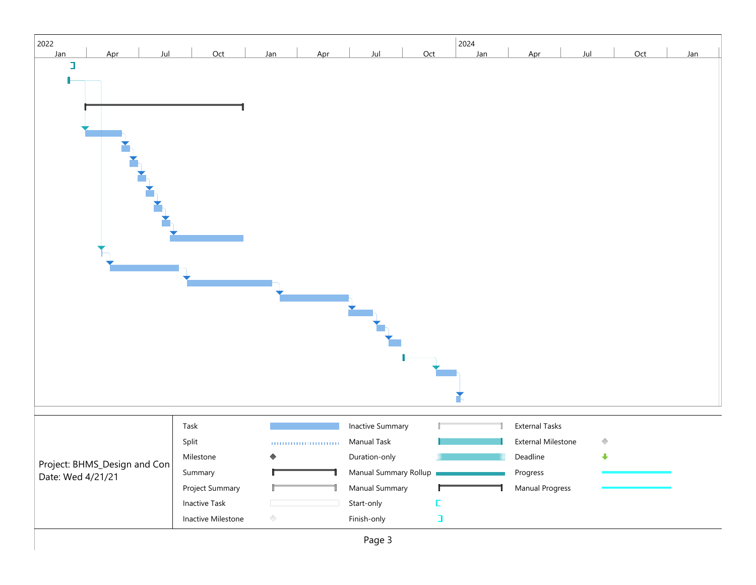